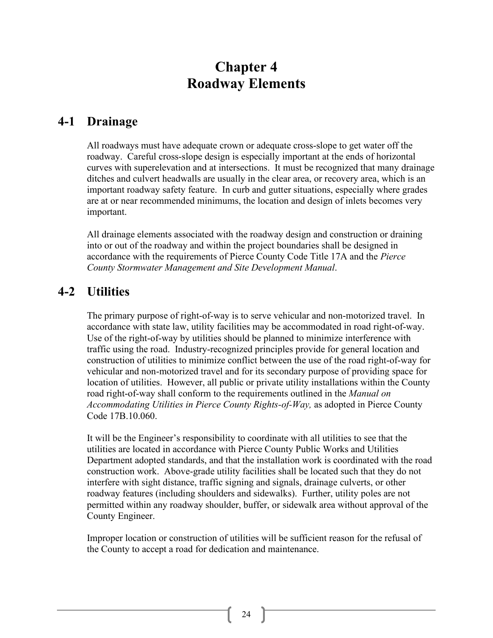# **Chapter 4 Roadway Elements**

### **4-1 Drainage**

All roadways must have adequate crown or adequate cross-slope to get water off the roadway. Careful cross-slope design is especially important at the ends of horizontal curves with superelevation and at intersections. It must be recognized that many drainage ditches and culvert headwalls are usually in the clear area, or recovery area, which is an important roadway safety feature. In curb and gutter situations, especially where grades are at or near recommended minimums, the location and design of inlets becomes very important.

All drainage elements associated with the roadway design and construction or draining into or out of the roadway and within the project boundaries shall be designed in accordance with the requirements of Pierce County Code Title 17A and the *Pierce County Stormwater Management and Site Development Manual*.

### **4-2 Utilities**

The primary purpose of right-of-way is to serve vehicular and non-motorized travel. In accordance with state law, utility facilities may be accommodated in road right-of-way. Use of the right-of-way by utilities should be planned to minimize interference with traffic using the road. Industry-recognized principles provide for general location and construction of utilities to minimize conflict between the use of the road right-of-way for vehicular and non-motorized travel and for its secondary purpose of providing space for location of utilities. However, all public or private utility installations within the County road right-of-way shall conform to the requirements outlined in the *Manual on Accommodating Utilities in Pierce County Rights-of-Way,* as adopted in Pierce County Code 17B.10.060.

It will be the Engineer's responsibility to coordinate with all utilities to see that the utilities are located in accordance with Pierce County Public Works and Utilities Department adopted standards, and that the installation work is coordinated with the road construction work. Above-grade utility facilities shall be located such that they do not interfere with sight distance, traffic signing and signals, drainage culverts, or other roadway features (including shoulders and sidewalks). Further, utility poles are not permitted within any roadway shoulder, buffer, or sidewalk area without approval of the County Engineer.

Improper location or construction of utilities will be sufficient reason for the refusal of the County to accept a road for dedication and maintenance.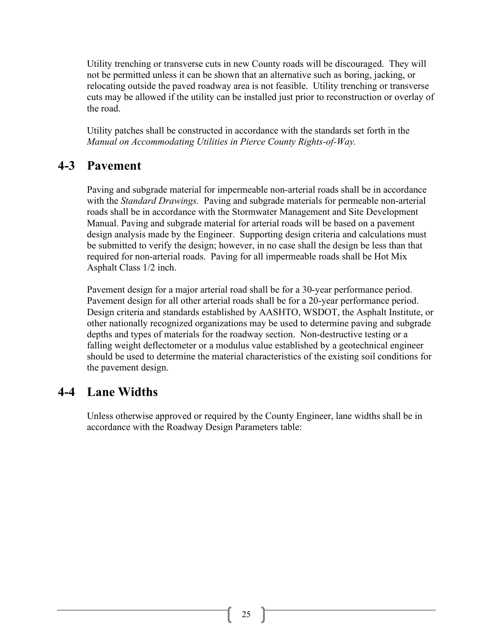Utility trenching or transverse cuts in new County roads will be discouraged. They will not be permitted unless it can be shown that an alternative such as boring, jacking, or relocating outside the paved roadway area is not feasible. Utility trenching or transverse cuts may be allowed if the utility can be installed just prior to reconstruction or overlay of the road.

Utility patches shall be constructed in accordance with the standards set forth in the *Manual on Accommodating Utilities in Pierce County Rights-of-Way.*

### **4-3 Pavement**

Paving and subgrade material for impermeable non-arterial roads shall be in accordance with the *Standard Drawings.* Paving and subgrade materials for permeable non-arterial roads shall be in accordance with the Stormwater Management and Site Development Manual. Paving and subgrade material for arterial roads will be based on a pavement design analysis made by the Engineer. Supporting design criteria and calculations must be submitted to verify the design; however, in no case shall the design be less than that required for non-arterial roads. Paving for all impermeable roads shall be Hot Mix Asphalt Class 1/2 inch.

Pavement design for a major arterial road shall be for a 30-year performance period. Pavement design for all other arterial roads shall be for a 20-year performance period. Design criteria and standards established by AASHTO, WSDOT, the Asphalt Institute, or other nationally recognized organizations may be used to determine paving and subgrade depths and types of materials for the roadway section. Non-destructive testing or a falling weight deflectometer or a modulus value established by a geotechnical engineer should be used to determine the material characteristics of the existing soil conditions for the pavement design.

### **4-4 Lane Widths**

Unless otherwise approved or required by the County Engineer, lane widths shall be in accordance with the Roadway Design Parameters table: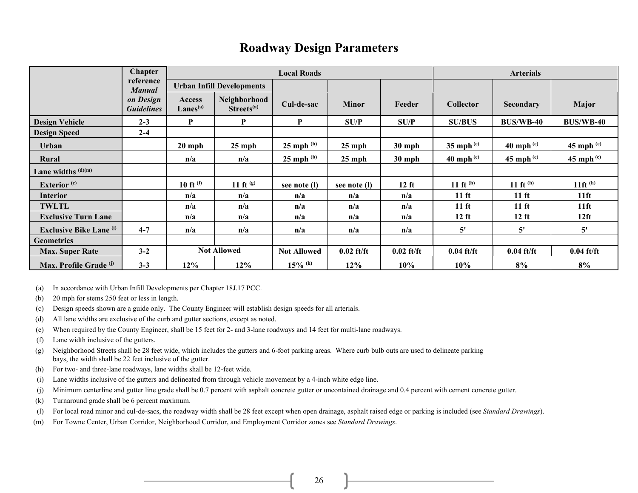### **Roadway Design Parameters**

|                                | <b>Chapter</b>                 | <b>Local Roads</b>               |                                        |                       |              |              | <b>Arterials</b> |                  |                  |
|--------------------------------|--------------------------------|----------------------------------|----------------------------------------|-----------------------|--------------|--------------|------------------|------------------|------------------|
|                                | reference<br><b>Manual</b>     | <b>Urban Infill Developments</b> |                                        |                       |              |              |                  |                  |                  |
|                                | on Design<br><b>Guidelines</b> | Access<br>Lanes <sup>(a)</sup>   | Neighborhood<br>Streets <sup>(a)</sup> | Cul-de-sac            | <b>Minor</b> | Feeder       | <b>Collector</b> | Secondary        | Major            |
| <b>Design Vehicle</b>          | $2 - 3$                        | P                                | P                                      | P                     | SU/P         | SU/P         | <b>SU/BUS</b>    | <b>BUS/WB-40</b> | <b>BUS/WB-40</b> |
| <b>Design Speed</b>            | $2 - 4$                        |                                  |                                        |                       |              |              |                  |                  |                  |
| Urban                          |                                | $20$ mph                         | $25$ mph                               | $25$ mph $^{(b)}$     | $25$ mph     | $30$ mph     | 35 mph $(c)$     | 40 mph $(c)$     | 45 mph $(e)$     |
| Rural                          |                                | n/a                              | n/a                                    | $25$ mph $(b)$        | $25$ mph     | $30$ mph     | 40 mph $(c)$     | $45$ mph $(c)$   | $45$ mph $(c)$   |
| Lane widths $(d)(m)$           |                                |                                  |                                        |                       |              |              |                  |                  |                  |
| Exterior <sup>(e)</sup>        |                                | 10 ft $^{(f)}$                   | 11 ft $(9)$                            | see note (l)          | see note (l) | $12$ ft      | 11 ft $^{(h)}$   | 11 ft $^{(h)}$   | 11 $ft^{(h)}$    |
| <b>Interior</b>                |                                | n/a                              | n/a                                    | n/a                   | n/a          | n/a          | $11 \text{ ft}$  | $11 \text{ ft}$  | $11$ ft          |
| TWLTL                          |                                | n/a                              | n/a                                    | n/a                   | n/a          | n/a          | $11 \text{ ft}$  | $11 \text{ ft}$  | $11$ ft          |
| <b>Exclusive Turn Lane</b>     |                                | n/a                              | n/a                                    | n/a                   | n/a          | n/a          | $12$ ft          | $12$ ft          | 12 <sub>ft</sub> |
| <b>Exclusive Bike Lane</b> (i) | $4 - 7$                        | n/a                              | n/a                                    | n/a                   | n/a          | n/a          | 5'               | 5'               | 5'               |
| <b>Geometrics</b>              |                                |                                  |                                        |                       |              |              |                  |                  |                  |
| <b>Max. Super Rate</b>         | $3 - 2$                        | <b>Not Allowed</b>               |                                        | <b>Not Allowed</b>    | $0.02$ ft/ft | $0.02$ ft/ft | $0.04$ ft/ft     | $0.04$ ft/ft     | $0.04$ ft/ft     |
| Max. Profile Grade (i)         | $3 - 3$                        | 12%                              | 12%                                    | $15\%$ <sup>(k)</sup> | 12%          | 10%          | 10%              | 8%               | 8%               |

(a) In accordance with Urban Infill Developments per Chapter 18J.17 PCC.

- (b) 20 mph for stems 250 feet or less in length.
- (c) Design speeds shown are a guide only. The County Engineer will establish design speeds for all arterials.
- (d) All lane widths are exclusive of the curb and gutter sections, except as noted.
- (e) When required by the County Engineer, shall be 15 feet for 2- and 3-lane roadways and 14 feet for multi-lane roadways.
- (f) Lane width inclusive of the gutters.
- (g) Neighborhood Streets shall be 28 feet wide, which includes the gutters and 6-foot parking areas. Where curb bulb outs are used to delineate parking bays, the width shall be 22 feet inclusive of the gutter.
- (h) For two- and three-lane roadways, lane widths shall be 12-feet wide.
- (i) Lane widths inclusive of the gutters and delineated from through vehicle movement by a 4-inch white edge line.
- (j) Minimum centerline and gutter line grade shall be 0.7 percent with asphalt concrete gutter or uncontained drainage and 0.4 percent with cement concrete gutter.
- (k) Turnaround grade shall be 6 percent maximum.
- (l) For local road minor and cul-de-sacs, the roadway width shall be 28 feet except when open drainage, asphalt raised edge or parking is included (see *Standard Drawings*).
- (m) For Towne Center, Urban Corridor, Neighborhood Corridor, and Employment Corridor zones see *Standard Drawings*.

26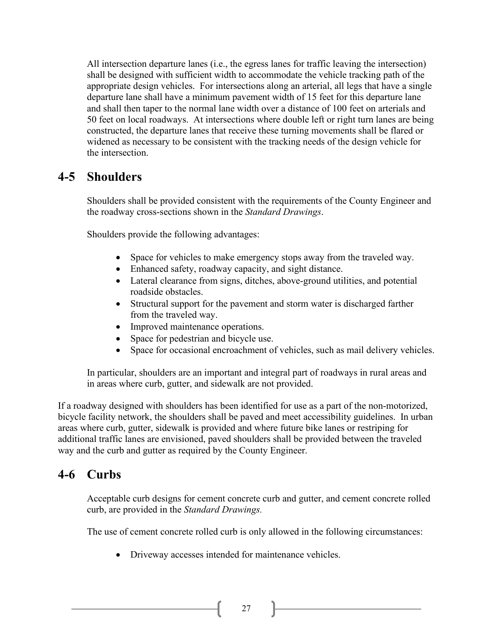All intersection departure lanes (i.e., the egress lanes for traffic leaving the intersection) shall be designed with sufficient width to accommodate the vehicle tracking path of the appropriate design vehicles. For intersections along an arterial, all legs that have a single departure lane shall have a minimum pavement width of 15 feet for this departure lane and shall then taper to the normal lane width over a distance of 100 feet on arterials and 50 feet on local roadways. At intersections where double left or right turn lanes are being constructed, the departure lanes that receive these turning movements shall be flared or widened as necessary to be consistent with the tracking needs of the design vehicle for the intersection.

### **4-5 Shoulders**

Shoulders shall be provided consistent with the requirements of the County Engineer and the roadway cross-sections shown in the *Standard Drawings*.

Shoulders provide the following advantages:

- Space for vehicles to make emergency stops away from the traveled way.
- Enhanced safety, roadway capacity, and sight distance.
- Lateral clearance from signs, ditches, above-ground utilities, and potential roadside obstacles.
- Structural support for the pavement and storm water is discharged farther from the traveled way.
- Improved maintenance operations.
- Space for pedestrian and bicycle use.
- Space for occasional encroachment of vehicles, such as mail delivery vehicles.

In particular, shoulders are an important and integral part of roadways in rural areas and in areas where curb, gutter, and sidewalk are not provided.

If a roadway designed with shoulders has been identified for use as a part of the non-motorized, bicycle facility network, the shoulders shall be paved and meet accessibility guidelines. In urban areas where curb, gutter, sidewalk is provided and where future bike lanes or restriping for additional traffic lanes are envisioned, paved shoulders shall be provided between the traveled way and the curb and gutter as required by the County Engineer.

### **4-6 Curbs**

Acceptable curb designs for cement concrete curb and gutter, and cement concrete rolled curb, are provided in the *Standard Drawings.*

The use of cement concrete rolled curb is only allowed in the following circumstances:

• Driveway accesses intended for maintenance vehicles.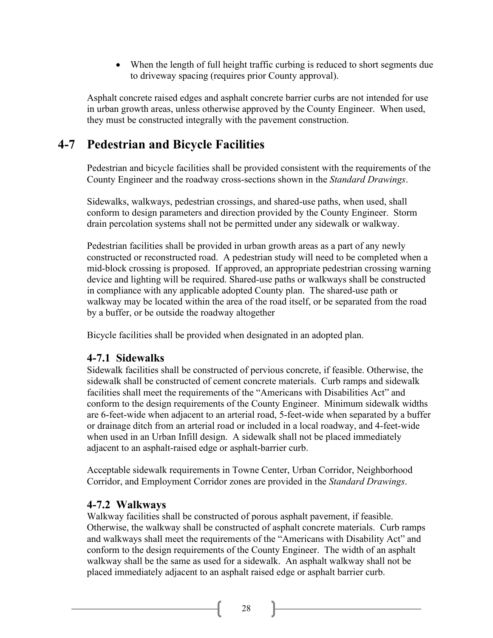• When the length of full height traffic curbing is reduced to short segments due to driveway spacing (requires prior County approval).

Asphalt concrete raised edges and asphalt concrete barrier curbs are not intended for use in urban growth areas, unless otherwise approved by the County Engineer. When used, they must be constructed integrally with the pavement construction.

## **4-7 Pedestrian and Bicycle Facilities**

Pedestrian and bicycle facilities shall be provided consistent with the requirements of the County Engineer and the roadway cross-sections shown in the *Standard Drawings*.

Sidewalks, walkways, pedestrian crossings, and shared-use paths, when used, shall conform to design parameters and direction provided by the County Engineer. Storm drain percolation systems shall not be permitted under any sidewalk or walkway.

Pedestrian facilities shall be provided in urban growth areas as a part of any newly constructed or reconstructed road. A pedestrian study will need to be completed when a mid-block crossing is proposed. If approved, an appropriate pedestrian crossing warning device and lighting will be required. Shared-use paths or walkways shall be constructed in compliance with any applicable adopted County plan. The shared-use path or walkway may be located within the area of the road itself, or be separated from the road by a buffer, or be outside the roadway altogether

Bicycle facilities shall be provided when designated in an adopted plan.

#### **4-7.1 Sidewalks**

Sidewalk facilities shall be constructed of pervious concrete, if feasible. Otherwise, the sidewalk shall be constructed of cement concrete materials. Curb ramps and sidewalk facilities shall meet the requirements of the "Americans with Disabilities Act" and conform to the design requirements of the County Engineer. Minimum sidewalk widths are 6-feet-wide when adjacent to an arterial road, 5-feet-wide when separated by a buffer or drainage ditch from an arterial road or included in a local roadway, and 4-feet-wide when used in an Urban Infill design. A sidewalk shall not be placed immediately adjacent to an asphalt-raised edge or asphalt-barrier curb.

Acceptable sidewalk requirements in Towne Center, Urban Corridor, Neighborhood Corridor, and Employment Corridor zones are provided in the *Standard Drawings*.

#### **4-7.2 Walkways**

Walkway facilities shall be constructed of porous asphalt pavement, if feasible. Otherwise, the walkway shall be constructed of asphalt concrete materials. Curb ramps and walkways shall meet the requirements of the "Americans with Disability Act" and conform to the design requirements of the County Engineer. The width of an asphalt walkway shall be the same as used for a sidewalk. An asphalt walkway shall not be placed immediately adjacent to an asphalt raised edge or asphalt barrier curb.

28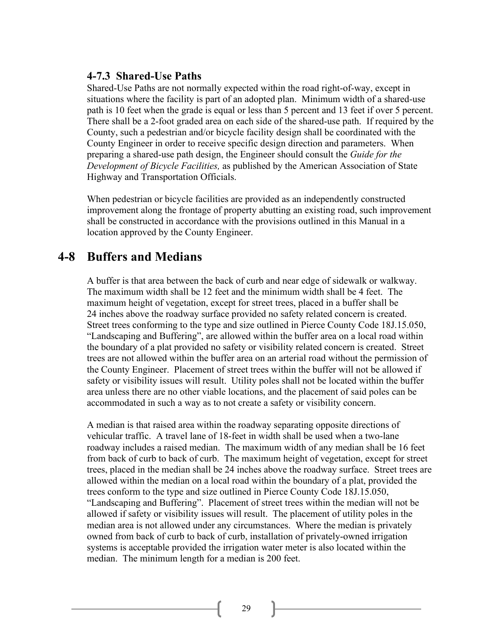#### **4-7.3 Shared-Use Paths**

Shared-Use Paths are not normally expected within the road right-of-way, except in situations where the facility is part of an adopted plan. Minimum width of a shared-use path is 10 feet when the grade is equal or less than 5 percent and 13 feet if over 5 percent. There shall be a 2-foot graded area on each side of the shared-use path. If required by the County, such a pedestrian and/or bicycle facility design shall be coordinated with the County Engineer in order to receive specific design direction and parameters. When preparing a shared-use path design, the Engineer should consult the *Guide for the Development of Bicycle Facilities,* as published by the American Association of State Highway and Transportation Officials.

When pedestrian or bicycle facilities are provided as an independently constructed improvement along the frontage of property abutting an existing road, such improvement shall be constructed in accordance with the provisions outlined in this Manual in a location approved by the County Engineer.

### **4-8 Buffers and Medians**

A buffer is that area between the back of curb and near edge of sidewalk or walkway. The maximum width shall be 12 feet and the minimum width shall be 4 feet. The maximum height of vegetation, except for street trees, placed in a buffer shall be 24 inches above the roadway surface provided no safety related concern is created. Street trees conforming to the type and size outlined in Pierce County Code 18J.15.050, "Landscaping and Buffering", are allowed within the buffer area on a local road within the boundary of a plat provided no safety or visibility related concern is created. Street trees are not allowed within the buffer area on an arterial road without the permission of the County Engineer. Placement of street trees within the buffer will not be allowed if safety or visibility issues will result. Utility poles shall not be located within the buffer area unless there are no other viable locations, and the placement of said poles can be accommodated in such a way as to not create a safety or visibility concern.

A median is that raised area within the roadway separating opposite directions of vehicular traffic. A travel lane of 18-feet in width shall be used when a two-lane roadway includes a raised median. The maximum width of any median shall be 16 feet from back of curb to back of curb. The maximum height of vegetation, except for street trees, placed in the median shall be 24 inches above the roadway surface. Street trees are allowed within the median on a local road within the boundary of a plat, provided the trees conform to the type and size outlined in Pierce County Code 18J.15.050, "Landscaping and Buffering". Placement of street trees within the median will not be allowed if safety or visibility issues will result. The placement of utility poles in the median area is not allowed under any circumstances. Where the median is privately owned from back of curb to back of curb, installation of privately-owned irrigation systems is acceptable provided the irrigation water meter is also located within the median. The minimum length for a median is 200 feet.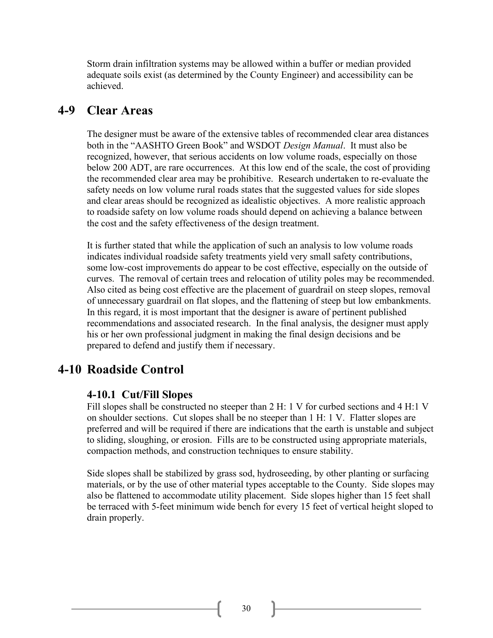Storm drain infiltration systems may be allowed within a buffer or median provided adequate soils exist (as determined by the County Engineer) and accessibility can be achieved.

#### **4-9 Clear Areas**

The designer must be aware of the extensive tables of recommended clear area distances both in the "AASHTO Green Book" and WSDOT *Design Manual*. It must also be recognized, however, that serious accidents on low volume roads, especially on those below 200 ADT, are rare occurrences. At this low end of the scale, the cost of providing the recommended clear area may be prohibitive. Research undertaken to re-evaluate the safety needs on low volume rural roads states that the suggested values for side slopes and clear areas should be recognized as idealistic objectives. A more realistic approach to roadside safety on low volume roads should depend on achieving a balance between the cost and the safety effectiveness of the design treatment.

It is further stated that while the application of such an analysis to low volume roads indicates individual roadside safety treatments yield very small safety contributions, some low-cost improvements do appear to be cost effective, especially on the outside of curves. The removal of certain trees and relocation of utility poles may be recommended. Also cited as being cost effective are the placement of guardrail on steep slopes, removal of unnecessary guardrail on flat slopes, and the flattening of steep but low embankments. In this regard, it is most important that the designer is aware of pertinent published recommendations and associated research. In the final analysis, the designer must apply his or her own professional judgment in making the final design decisions and be prepared to defend and justify them if necessary.

#### **4-10 Roadside Control**

#### **4-10.1 Cut/Fill Slopes**

Fill slopes shall be constructed no steeper than 2 H: 1 V for curbed sections and 4 H:1 V on shoulder sections. Cut slopes shall be no steeper than 1 H: 1 V. Flatter slopes are preferred and will be required if there are indications that the earth is unstable and subject to sliding, sloughing, or erosion. Fills are to be constructed using appropriate materials, compaction methods, and construction techniques to ensure stability.

Side slopes shall be stabilized by grass sod, hydroseeding, by other planting or surfacing materials, or by the use of other material types acceptable to the County. Side slopes may also be flattened to accommodate utility placement. Side slopes higher than 15 feet shall be terraced with 5-feet minimum wide bench for every 15 feet of vertical height sloped to drain properly.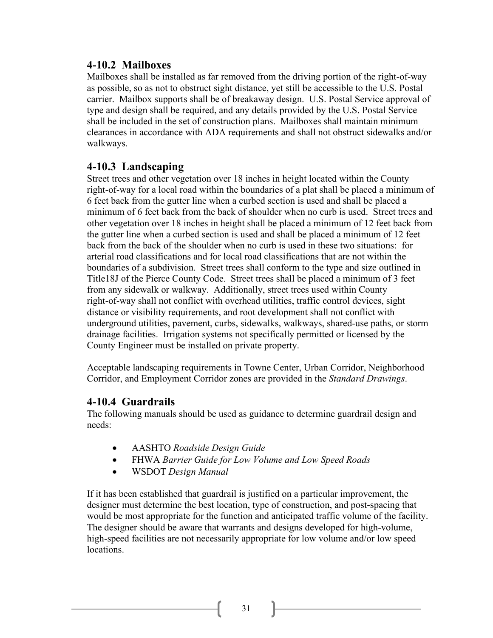#### **4-10.2 Mailboxes**

Mailboxes shall be installed as far removed from the driving portion of the right-of-way as possible, so as not to obstruct sight distance, yet still be accessible to the U.S. Postal carrier. Mailbox supports shall be of breakaway design. U.S. Postal Service approval of type and design shall be required, and any details provided by the U.S. Postal Service shall be included in the set of construction plans. Mailboxes shall maintain minimum clearances in accordance with ADA requirements and shall not obstruct sidewalks and/or walkways.

### **4-10.3 Landscaping**

Street trees and other vegetation over 18 inches in height located within the County right-of-way for a local road within the boundaries of a plat shall be placed a minimum of 6 feet back from the gutter line when a curbed section is used and shall be placed a minimum of 6 feet back from the back of shoulder when no curb is used. Street trees and other vegetation over 18 inches in height shall be placed a minimum of 12 feet back from the gutter line when a curbed section is used and shall be placed a minimum of 12 feet back from the back of the shoulder when no curb is used in these two situations: for arterial road classifications and for local road classifications that are not within the boundaries of a subdivision. Street trees shall conform to the type and size outlined in Title18J of the Pierce County Code. Street trees shall be placed a minimum of 3 feet from any sidewalk or walkway. Additionally, street trees used within County right-of-way shall not conflict with overhead utilities, traffic control devices, sight distance or visibility requirements, and root development shall not conflict with underground utilities, pavement, curbs, sidewalks, walkways, shared-use paths, or storm drainage facilities. Irrigation systems not specifically permitted or licensed by the County Engineer must be installed on private property.

Acceptable landscaping requirements in Towne Center, Urban Corridor, Neighborhood Corridor, and Employment Corridor zones are provided in the *Standard Drawings*.

#### **4-10.4 Guardrails**

The following manuals should be used as guidance to determine guardrail design and needs:

- AASHTO *Roadside Design Guide*
- FHWA *Barrier Guide for Low Volume and Low Speed Roads*
- WSDOT *Design Manual*

If it has been established that guardrail is justified on a particular improvement, the designer must determine the best location, type of construction, and post-spacing that would be most appropriate for the function and anticipated traffic volume of the facility. The designer should be aware that warrants and designs developed for high-volume, high-speed facilities are not necessarily appropriate for low volume and/or low speed locations.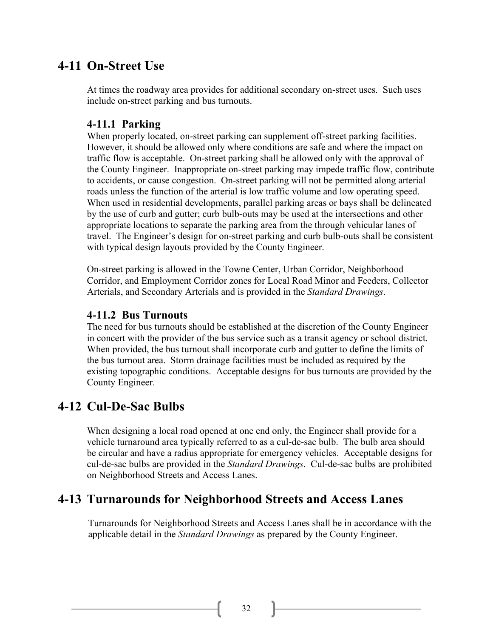### **4-11 On-Street Use**

At times the roadway area provides for additional secondary on-street uses. Such uses include on-street parking and bus turnouts.

#### **4-11.1 Parking**

When properly located, on-street parking can supplement off-street parking facilities. However, it should be allowed only where conditions are safe and where the impact on traffic flow is acceptable. On-street parking shall be allowed only with the approval of the County Engineer. Inappropriate on-street parking may impede traffic flow, contribute to accidents, or cause congestion. On-street parking will not be permitted along arterial roads unless the function of the arterial is low traffic volume and low operating speed. When used in residential developments, parallel parking areas or bays shall be delineated by the use of curb and gutter; curb bulb-outs may be used at the intersections and other appropriate locations to separate the parking area from the through vehicular lanes of travel. The Engineer's design for on-street parking and curb bulb-outs shall be consistent with typical design layouts provided by the County Engineer.

On-street parking is allowed in the Towne Center, Urban Corridor, Neighborhood Corridor, and Employment Corridor zones for Local Road Minor and Feeders, Collector Arterials, and Secondary Arterials and is provided in the *Standard Drawings*.

#### **4-11.2 Bus Turnouts**

The need for bus turnouts should be established at the discretion of the County Engineer in concert with the provider of the bus service such as a transit agency or school district. When provided, the bus turnout shall incorporate curb and gutter to define the limits of the bus turnout area. Storm drainage facilities must be included as required by the existing topographic conditions. Acceptable designs for bus turnouts are provided by the County Engineer.

### **4-12 Cul-De-Sac Bulbs**

When designing a local road opened at one end only, the Engineer shall provide for a vehicle turnaround area typically referred to as a cul-de-sac bulb. The bulb area should be circular and have a radius appropriate for emergency vehicles. Acceptable designs for cul-de-sac bulbs are provided in the *Standard Drawings*. Cul-de-sac bulbs are prohibited on Neighborhood Streets and Access Lanes.

### **4-13 Turnarounds for Neighborhood Streets and Access Lanes**

Turnarounds for Neighborhood Streets and Access Lanes shall be in accordance with the applicable detail in the *Standard Drawings* as prepared by the County Engineer.